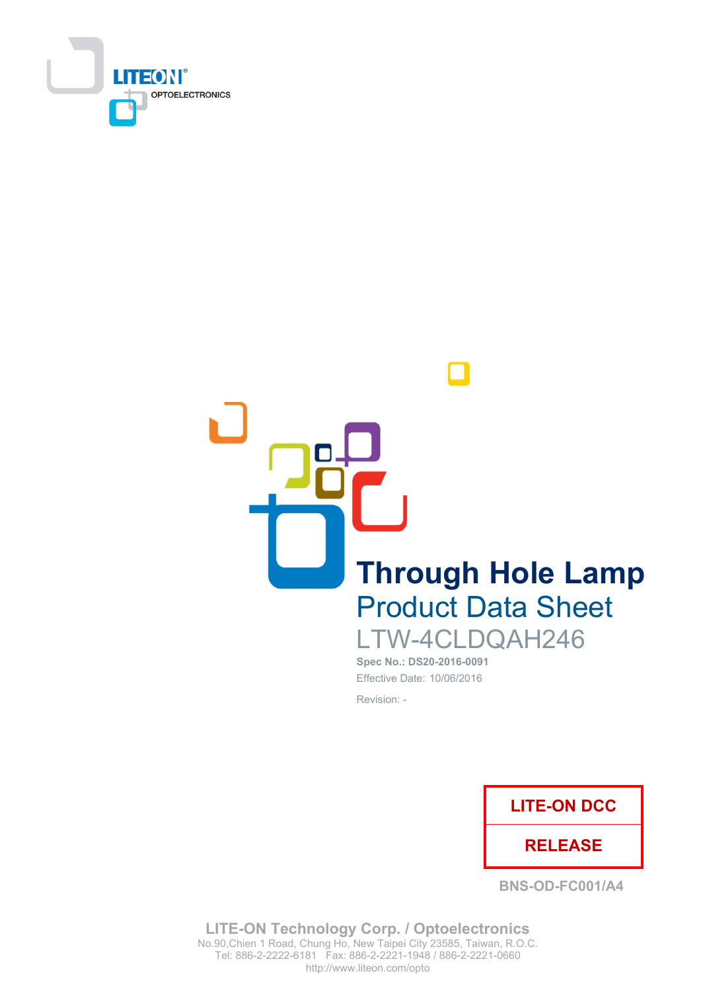

**Through Hole Lamp Product Data Sheet** 

LTW-4CLDQAH246 Spec No.: DS20-2016-0091 Effective Date: 10/06/2016 Revision: -



**BNS-OD-FC001/A4** 

**LITE-ON Technology Corp. / Optoelectronics** No.90, Chien 1 Road, Chung Ho, New Taipei City 23585, Taiwan, R.O.C. Tel: 886-2-2222-6181 Fax: 886-2-2221-1948 / 886-2-2221-0660 http://www.liteon.com/opto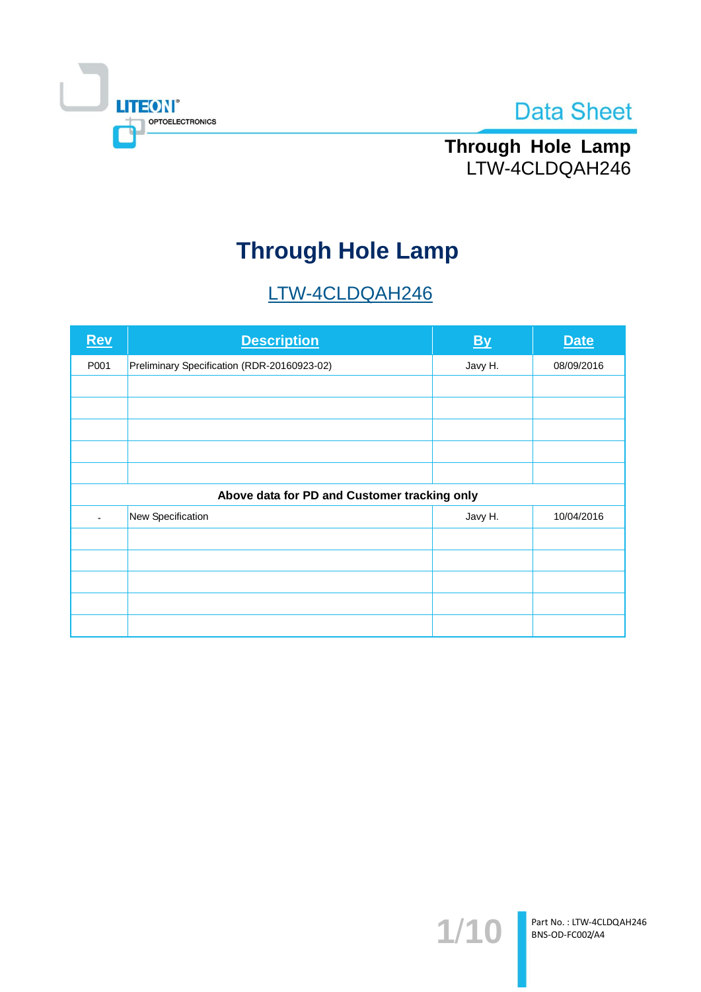



Through Hole Lamp LTW-4CLDQAH246

# **Through Hole Lamp**

# LTW-4CLDQAH246

| <b>Rev</b> | <b>Description</b>                           | By      | <b>Date</b> |  |  |  |
|------------|----------------------------------------------|---------|-------------|--|--|--|
| P001       | Preliminary Specification (RDR-20160923-02)  | Javy H. | 08/09/2016  |  |  |  |
|            |                                              |         |             |  |  |  |
|            |                                              |         |             |  |  |  |
|            |                                              |         |             |  |  |  |
|            |                                              |         |             |  |  |  |
|            |                                              |         |             |  |  |  |
|            | Above data for PD and Customer tracking only |         |             |  |  |  |
|            | New Specification                            | Javy H. | 10/04/2016  |  |  |  |
|            |                                              |         |             |  |  |  |
|            |                                              |         |             |  |  |  |
|            |                                              |         |             |  |  |  |
|            |                                              |         |             |  |  |  |
|            |                                              |         |             |  |  |  |

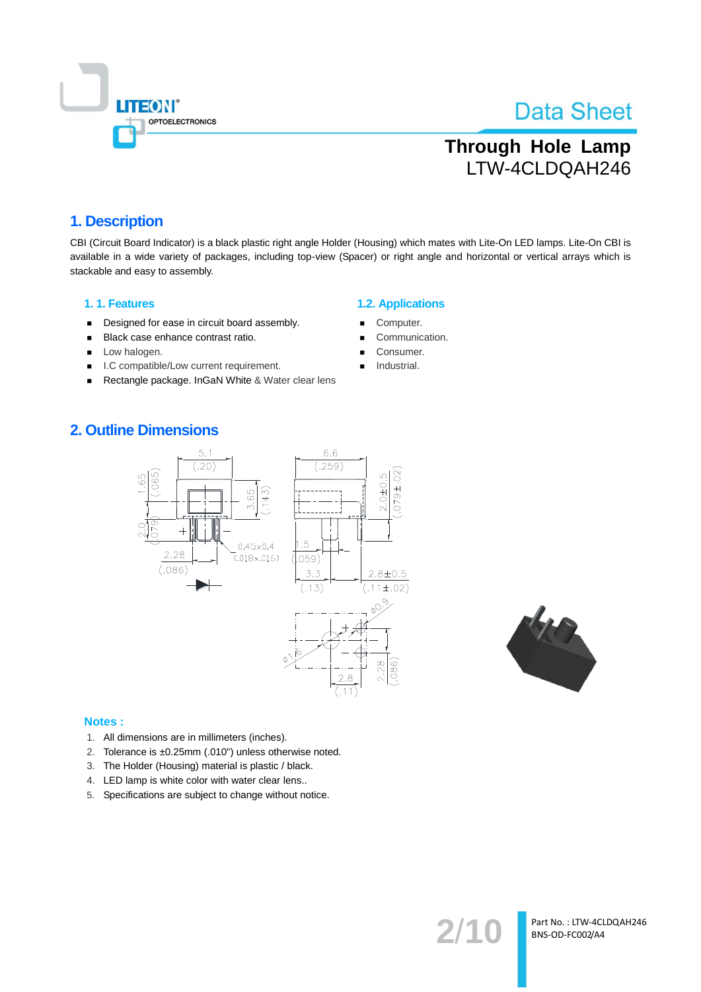

# **Through Hole Lamp** LTW-4CLDQAH246

### 1. Description

CBI (Circuit Board Indicator) is a black plastic right angle Holder (Housing) which mates with Lite-On LED lamps. Lite-On CBI is available in a wide variety of packages, including top-view (Spacer) or right angle and horizontal or vertical arrays which is stackable and easy to assembly.

#### 1.1. Features

- Designed for ease in circuit board assembly.  $\blacksquare$
- Black case enhance contrast ratio.  $\blacksquare$
- Low halogen.  $\blacksquare$
- $\blacksquare$ I.C compatible/Low current requirement.
- Rectangle package. InGaN White & Water clear lens

#### **1.2. Applications**

- Computer.
- Communication.
- Consumer.
- Industrial.

### **2. Outline Dimensions**



# Notes:

- 1. All dimensions are in millimeters (inches).
- 2. Tolerance is ±0.25mm (.010") unless otherwise noted.
- 3. The Holder (Housing) material is plastic / black.
- 4. LED lamp is white color with water clear lens..
- 5. Specifications are subject to change without notice.



Part No.: LTW-4CLDQAH246 BNS-OD-FC002/A4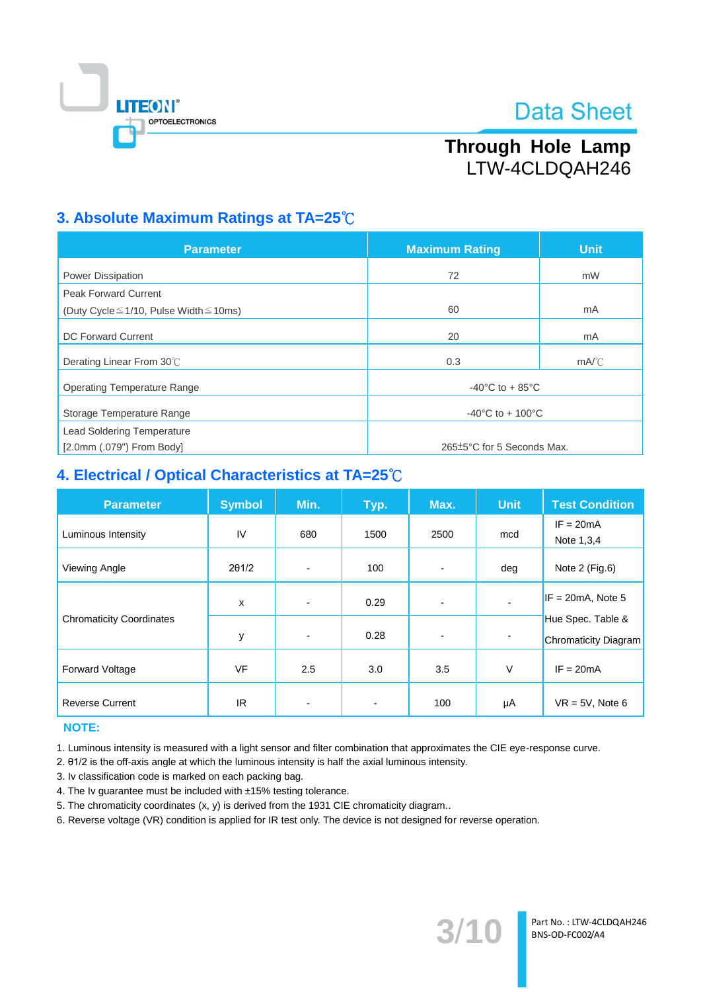

# Through Hole Lamp LTW-4CLDQAH246

### 3. Absolute Maximum Ratings at TA=25°C

| <b>Parameter</b>                                  | <b>Maximum Rating</b>                 | <b>Unit</b> |  |
|---------------------------------------------------|---------------------------------------|-------------|--|
| <b>Power Dissipation</b>                          | 72                                    | mW          |  |
|                                                   |                                       |             |  |
| <b>Peak Forward Current</b>                       |                                       |             |  |
| (Duty Cycle $\leq$ 1/10, Pulse Width $\leq$ 10ms) | 60                                    | mA          |  |
| DC Forward Current                                | 20                                    | mA          |  |
| Derating Linear From 30°C                         | 0.3                                   | mA/C        |  |
| <b>Operating Temperature Range</b>                | -40 $^{\circ}$ C to + 85 $^{\circ}$ C |             |  |
| Storage Temperature Range                         | $-40^{\circ}$ C to + 100 $^{\circ}$ C |             |  |
| <b>Lead Soldering Temperature</b>                 |                                       |             |  |
| $[2.0$ mm $(.079")$ From Body]                    | 265±5°C for 5 Seconds Max.            |             |  |

### 4. Electrical / Optical Characteristics at TA=25°C

| <b>Parameter</b>                | <b>Symbol</b> | Min. | Typ.                     | Max.                     | <b>Unit</b>    | <b>Test Condition</b>                     |
|---------------------------------|---------------|------|--------------------------|--------------------------|----------------|-------------------------------------------|
| Luminous Intensity              | IV            | 680  | 1500                     | 2500                     | mcd            | $IF = 20mA$<br>Note 1,3,4                 |
| Viewing Angle                   | 201/2         |      | 100                      | $\overline{\phantom{0}}$ | deg            | Note 2 (Fig.6)                            |
|                                 | X             |      | 0.29                     | $\blacksquare$           |                | $IF = 20mA$ , Note 5                      |
| <b>Chromaticity Coordinates</b> | у             | ٠    | 0.28                     | $\overline{\phantom{0}}$ | $\blacksquare$ | Hue Spec. Table &<br>Chromaticity Diagram |
| <b>Forward Voltage</b>          | <b>VF</b>     | 2.5  | 3.0                      | 3.5                      | V              | $IF = 20mA$                               |
| <b>Reverse Current</b>          | IR.           | ۰    | $\overline{\phantom{a}}$ | 100                      | μA             | $VR = 5V$ , Note 6                        |

### **NOTE:**

1. Luminous intensity is measured with a light sensor and filter combination that approximates the CIE eye-response curve.

2. 01/2 is the off-axis angle at which the luminous intensity is half the axial luminous intensity.

3. Iv classification code is marked on each packing bag.

4. The Iv guarantee must be included with ±15% testing tolerance.

5. The chromaticity coordinates (x, y) is derived from the 1931 CIE chromaticity diagram..

6. Reverse voltage (VR) condition is applied for IR test only. The device is not designed for reverse operation.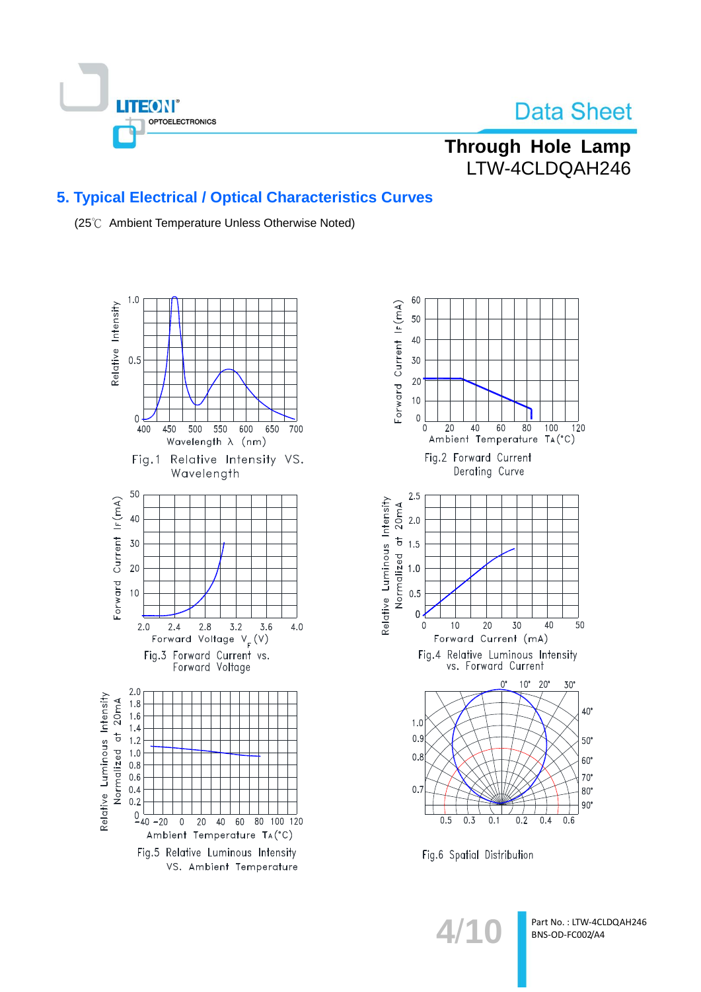

### **Through Hole Lamp** LTW-4CLDQAH246

### 5. Typical Electrical / Optical Characteristics Curves

(25℃ Ambient Temperature Unless Otherwise Noted)





Fig.6 Spatial Distribution

 $4/1$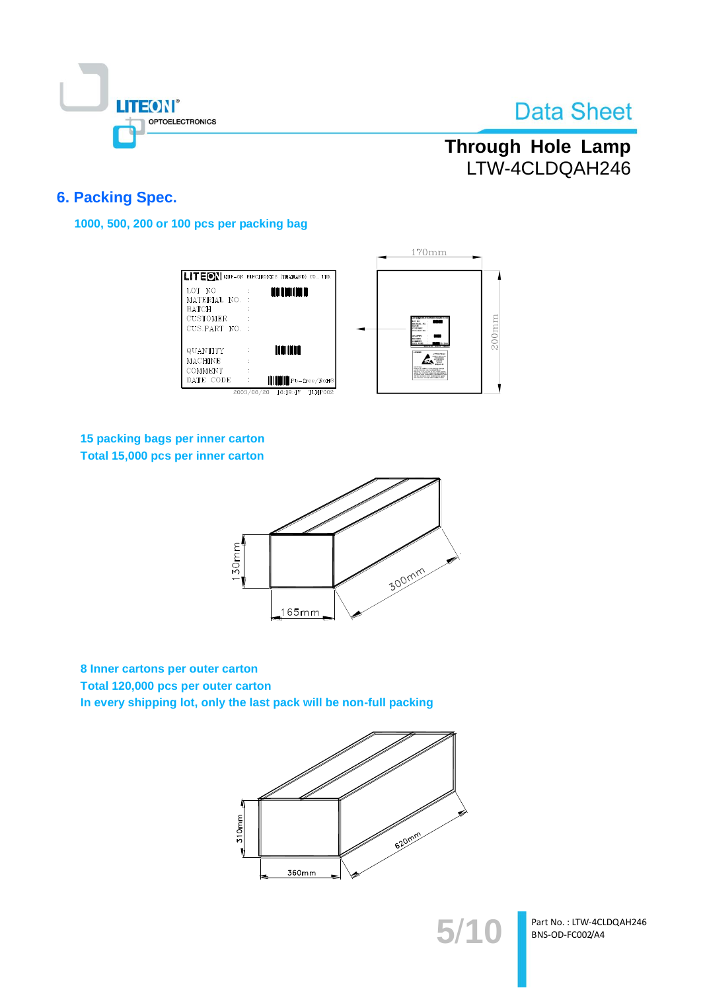

# Through Hole Lamp LTW-4CLDQAH246

### **6. Packing Spec.**

1000, 500, 200 or 100 pcs per packing bag

|                                                                             |                                                                | $170$ mm                                                                                                                                                                                                                      |
|-----------------------------------------------------------------------------|----------------------------------------------------------------|-------------------------------------------------------------------------------------------------------------------------------------------------------------------------------------------------------------------------------|
|                                                                             | <b>LITEON</b> LITE-ON ELECTRONICS (THAILAND) CO., LTD.         |                                                                                                                                                                                                                               |
| LOT NO<br>MATERIAL NO.<br><b>BATCH</b><br><b>CUSTOMER</b><br>CUS.PART NO. : | <b>THE REAL PROPERTY</b>                                       | LOT 303<br>MATERIAL RD<br><b>BATCH</b><br><b>COSTERE</b><br><b>CUSPARE 30</b>                                                                                                                                                 |
| <b>QUANTITY</b><br><b>MACHINE</b>                                           | <b>THE THEFT</b>                                               | <b>MACHERS</b><br>OMMER<br>LITHDEE<br><b>ATTENTION</b><br><b>CA PARTIES</b><br>control study<br>OWNER                                                                                                                         |
| COMMENT<br>DATE CODE                                                        | <b>HILLE</b> Pb-free/RoHS<br>2003/06/20<br>16:19:47<br>TLMP002 | Product on continue to state procedure of<br>Patients in the case the as-belle-tubage study<br>plat. In certainty ang any case design is<br>positiv saak in description of the modern Pros<br>also declines some appartmental |

### 15 packing bags per inner carton Total 15,000 pcs per inner carton



8 Inner cartons per outer carton Total 120,000 pcs per outer carton In every shipping lot, only the last pack will be non-full packing



Part No.: LTW-4CLDQAH246 BNS-OD-FC002/A4

5/10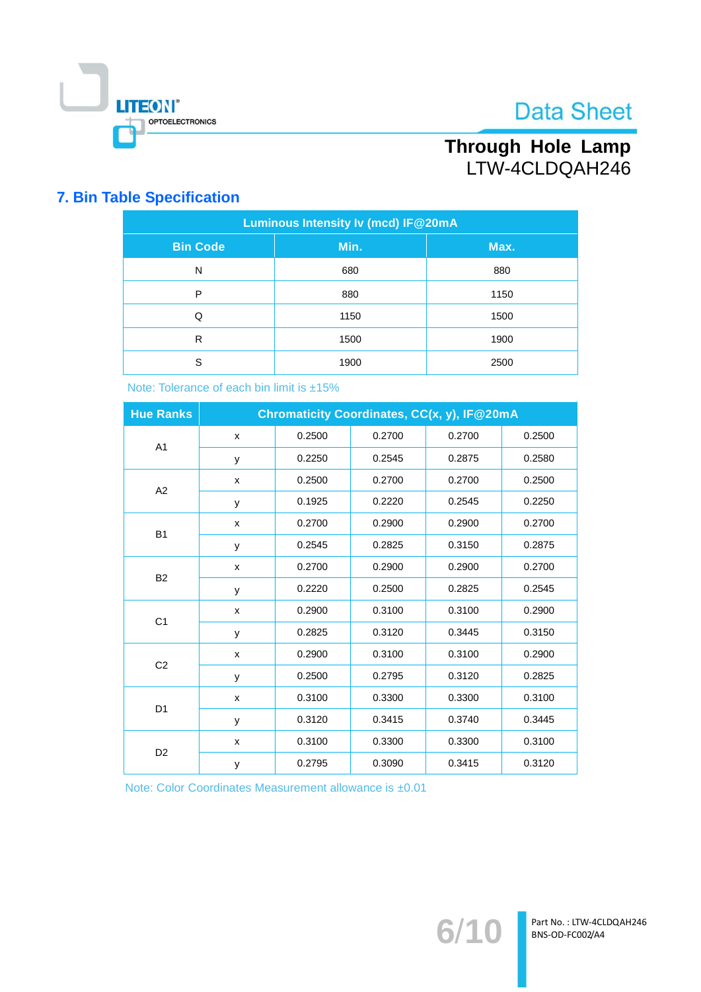

# Through Hole Lamp LTW-4CLDQAH246

### **7. Bin Table Specification**

| Luminous Intensity Iv (mcd) IF@20mA |      |      |  |  |  |
|-------------------------------------|------|------|--|--|--|
| <b>Bin Code</b>                     | Min. | Max. |  |  |  |
| N                                   | 680  | 880  |  |  |  |
| P                                   | 880  | 1150 |  |  |  |
| Q                                   | 1150 | 1500 |  |  |  |
| R                                   | 1500 | 1900 |  |  |  |
| S                                   | 1900 | 2500 |  |  |  |

Note: Tolerance of each bin limit is ±15%

| <b>Hue Ranks</b> |   |        |        | Chromaticity Coordinates, CC(x, y), IF@20mA |        |
|------------------|---|--------|--------|---------------------------------------------|--------|
|                  | X | 0.2500 | 0.2700 | 0.2700                                      | 0.2500 |
| A1               | У | 0.2250 | 0.2545 | 0.2875                                      | 0.2580 |
| A2               | X | 0.2500 | 0.2700 | 0.2700                                      | 0.2500 |
|                  | У | 0.1925 | 0.2220 | 0.2545                                      | 0.2250 |
| <b>B1</b>        | X | 0.2700 | 0.2900 | 0.2900                                      | 0.2700 |
|                  | У | 0.2545 | 0.2825 | 0.3150                                      | 0.2875 |
| <b>B2</b>        | X | 0.2700 | 0.2900 | 0.2900                                      | 0.2700 |
|                  | У | 0.2220 | 0.2500 | 0.2825                                      | 0.2545 |
| C <sub>1</sub>   | X | 0.2900 | 0.3100 | 0.3100                                      | 0.2900 |
|                  | У | 0.2825 | 0.3120 | 0.3445                                      | 0.3150 |
| C <sub>2</sub>   | X | 0.2900 | 0.3100 | 0.3100                                      | 0.2900 |
|                  | У | 0.2500 | 0.2795 | 0.3120                                      | 0.2825 |
| D <sub>1</sub>   | X | 0.3100 | 0.3300 | 0.3300                                      | 0.3100 |
|                  | y | 0.3120 | 0.3415 | 0.3740                                      | 0.3445 |
| D <sub>2</sub>   | X | 0.3100 | 0.3300 | 0.3300                                      | 0.3100 |
|                  | У | 0.2795 | 0.3090 | 0.3415                                      | 0.3120 |

Note: Color Coordinates Measurement allowance is ±0.01

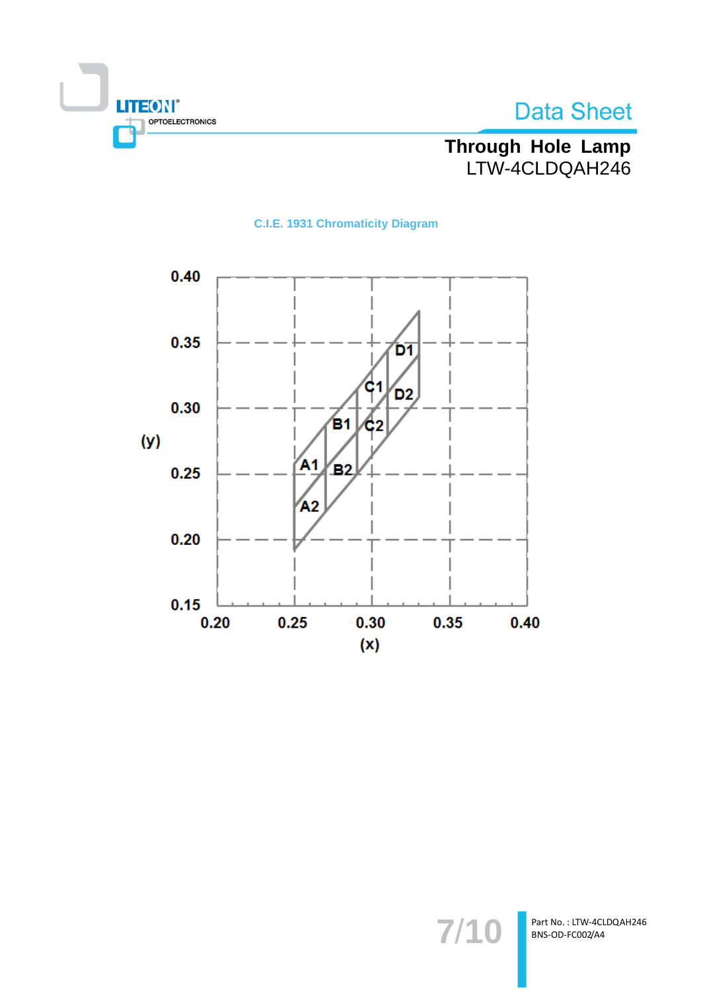

# Through Hole Lamp<br>LTW-4CLDQAH246

**C.I.E. 1931 Chromaticity Diagram** 



7/10

Part No.: LTW-4CLDQAH246 BNS-OD-FC002/A4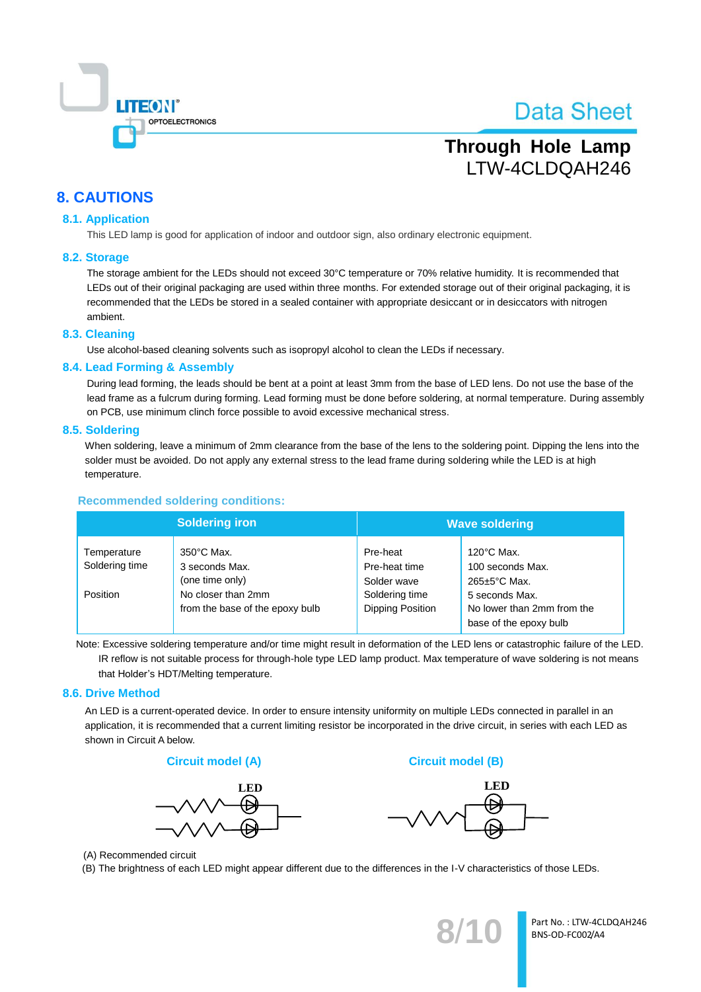

# **Through Hole Lamp** LTW-4CLDQAH246

### **8. CAUTIONS**

### **8.1. Application**

This LED lamp is good for application of indoor and outdoor sign, also ordinary electronic equipment.

#### 8.2. Storage

The storage ambient for the LEDs should not exceed 30°C temperature or 70% relative humidity. It is recommended that LEDs out of their original packaging are used within three months. For extended storage out of their original packaging, it is recommended that the LEDs be stored in a sealed container with appropriate desiccant or in desiccators with nitrogen ambient.

#### 8.3. Cleaning

Use alcohol-based cleaning solvents such as isopropyl alcohol to clean the LEDs if necessary.

#### 8.4. Lead Forming & Assembly

During lead forming, the leads should be bent at a point at least 3mm from the base of LED lens. Do not use the base of the lead frame as a fulcrum during forming. Lead forming must be done before soldering, at normal temperature. During assembly on PCB, use minimum clinch force possible to avoid excessive mechanical stress.

#### 8.5. Soldering

When soldering, leave a minimum of 2mm clearance from the base of the lens to the soldering point. Dipping the lens into the solder must be avoided. Do not apply any external stress to the lead frame during soldering while the LED is at high temperature.

### **Recommended soldering conditions:**

|                               | <b>Soldering iron</b>                                     |                                           | <b>Wave soldering</b>                                                  |
|-------------------------------|-----------------------------------------------------------|-------------------------------------------|------------------------------------------------------------------------|
| Temperature<br>Soldering time | $350^{\circ}$ C Max.<br>3 seconds Max.<br>(one time only) | Pre-heat<br>Pre-heat time<br>Solder wave  | $120^{\circ}$ C Max.<br>100 seconds Max.<br>265±5°C Max.               |
| Position                      | No closer than 2mm<br>from the base of the epoxy bulb     | Soldering time<br><b>Dipping Position</b> | 5 seconds Max.<br>No lower than 2mm from the<br>base of the epoxy bulb |

Note: Excessive soldering temperature and/or time might result in deformation of the LED lens or catastrophic failure of the LED. IR reflow is not suitable process for through-hole type LED lamp product. Max temperature of wave soldering is not means that Holder's HDT/Melting temperature.

### 8.6. Drive Method

An LED is a current-operated device. In order to ensure intensity uniformity on multiple LEDs connected in parallel in an application, it is recommended that a current limiting resistor be incorporated in the drive circuit, in series with each LED as shown in Circuit A below.





**Circuit model (B)** 



(A) Recommended circuit

(B) The brightness of each LED might appear different due to the differences in the I-V characteristics of those LEDs.

Part No.: LTW-4CLDQAH246 BNS-OD-FC002/A4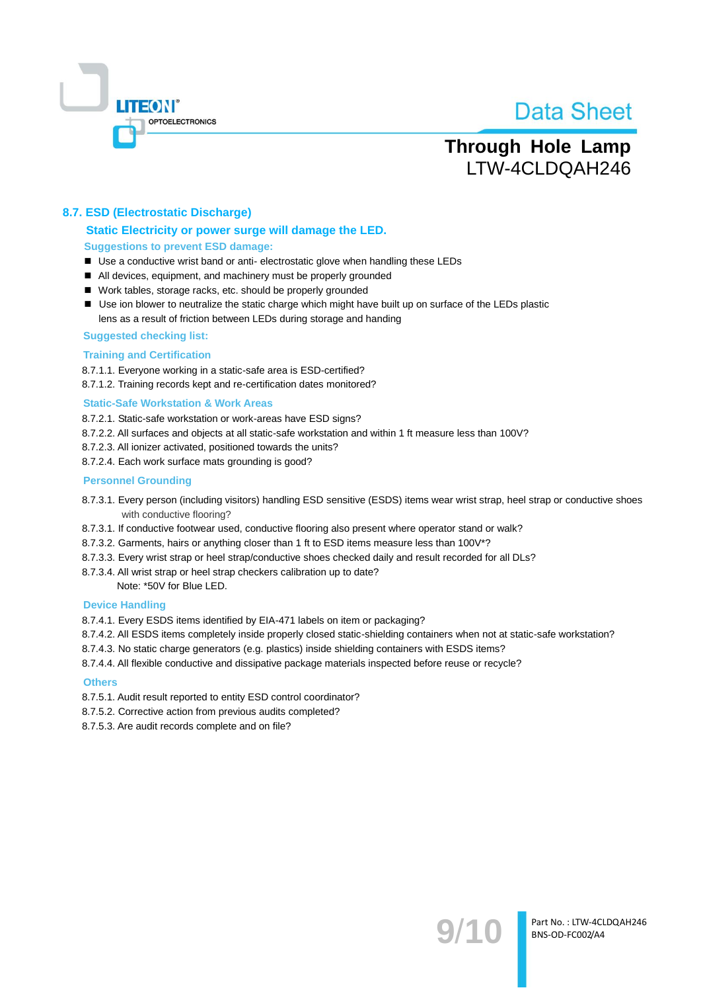

Part No.: LTW-4CLDQAH246

BNS-OD-FC002/A4

## **Through Hole Lamp** LTW-4CLDQAH246

### 8.7. ESD (Electrostatic Discharge)

### Static Electricity or power surge will damage the LED.

**Suggestions to prevent ESD damage:** 

- Use a conductive wrist band or anti- electrostatic glove when handling these LEDs
- All devices, equipment, and machinery must be properly grounded
- Work tables, storage racks, etc. should be properly grounded
- Use ion blower to neutralize the static charge which might have built up on surface of the LEDs plastic lens as a result of friction between LEDs during storage and handing
- **Suggested checking list:**

#### **Training and Certification**

8.7.1.1. Evervone working in a static-safe area is ESD-certified?

8.7.1.2. Training records kept and re-certification dates monitored?

#### **Static-Safe Workstation & Work Areas**

- 8.7.2.1. Static-safe workstation or work-areas have ESD signs?
- 8.7.2.2. All surfaces and objects at all static-safe workstation and within 1 ft measure less than 100V?
- 8.7.2.3. All ionizer activated, positioned towards the units?
- 8.7.2.4. Each work surface mats grounding is good?

#### **Personnel Grounding**

- 8.7.3.1. Every person (including visitors) handling ESD sensitive (ESDS) items wear wrist strap, heel strap or conductive shoes with conductive flooring?
- 8.7.3.1. If conductive footwear used, conductive flooring also present where operator stand or walk?
- 8.7.3.2. Garments, hairs or anything closer than 1 ft to ESD items measure less than 100V\*?
- 8.7.3.3. Every wrist strap or heel strap/conductive shoes checked daily and result recorded for all DLs?
- 8.7.3.4. All wrist strap or heel strap checkers calibration up to date?

Note: \*50V for Blue LED.

#### **Device Handling**

- 8.7.4.1. Every ESDS items identified by EIA-471 labels on item or packaging?
- 8.7.4.2. All ESDS items completely inside properly closed static-shielding containers when not at static-safe workstation?
- 8.7.4.3. No static charge generators (e.g. plastics) inside shielding containers with ESDS items?

8.7.4.4. All flexible conductive and dissipative package materials inspected before reuse or recycle?

#### **Others**

8.7.5.1. Audit result reported to entity ESD control coordinator?

- 8.7.5.2. Corrective action from previous audits completed?
- 8.7.5.3. Are audit records complete and on file?